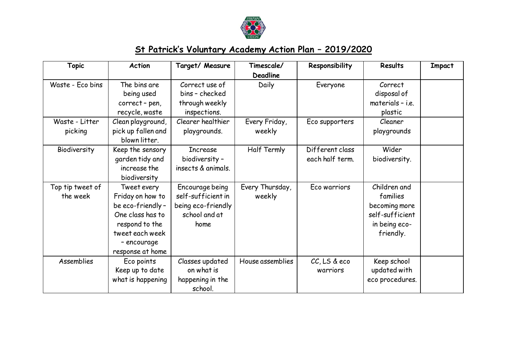

## **St Patrick's Voluntary Academy Action Plan – 2019/2020**

| <b>Topic</b>                 | <b>Action</b>                                                                                                                                   | Target/ Measure                                                                      | Timescale/<br><b>Deadline</b> | Responsibility                     | <b>Results</b>                                                                             | <b>Impact</b> |
|------------------------------|-------------------------------------------------------------------------------------------------------------------------------------------------|--------------------------------------------------------------------------------------|-------------------------------|------------------------------------|--------------------------------------------------------------------------------------------|---------------|
| Waste - Eco bins             | The bins are<br>being used<br>correct-pen,<br>recycle, waste                                                                                    | Correct use of<br>bins - checked<br>through weekly<br>inspections.                   | Daily                         | Everyone                           | Correct<br>disposal of<br>materials - i.e.<br>plastic                                      |               |
| Waste - Litter<br>picking    | Clean playground,<br>pick up fallen and<br>blown litter.                                                                                        | Clearer healthier<br>playgrounds.                                                    | Every Friday,<br>weekly       | Eco supporters                     | Cleaner<br>playgrounds                                                                     |               |
| Biodiversity                 | Keep the sensory<br>garden tidy and<br>increase the<br>biodiversity                                                                             | <b>Increase</b><br>biodiversity -<br>insects & animals.                              | Half Termly                   | Different class<br>each half term. | Wider<br>biodiversity.                                                                     |               |
| Top tip tweet of<br>the week | Tweet every<br>Friday on how to<br>be eco-friendly-<br>One class has to<br>respond to the<br>tweet each week<br>- encourage<br>response at home | Encourage being<br>self-sufficient in<br>being eco-friendly<br>school and at<br>home | Every Thursday,<br>weekly     | Eco warriors                       | Children and<br>families<br>becoming more<br>self-sufficient<br>in being eco-<br>friendly. |               |
| Assemblies                   | Eco points<br>Keep up to date<br>what is happening                                                                                              | Classes updated<br>on what is<br>happening in the<br>school.                         | House assemblies              | CC, LS & eco<br>warriors           | Keep school<br>updated with<br>eco procedures.                                             |               |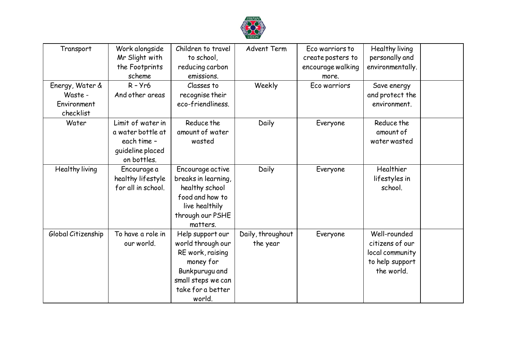

| Transport          | Work alongside     | Children to travel  | <b>Advent Term</b> | Eco warriors to   | Healthy living   |  |
|--------------------|--------------------|---------------------|--------------------|-------------------|------------------|--|
|                    | Mr Slight with     | to school,          |                    | create posters to | personally and   |  |
|                    | the Footprints     | reducing carbon     |                    | encourage walking | environmentally. |  |
|                    | scheme             | emissions.          |                    | more.             |                  |  |
| Energy, Water &    | $R - Yr6$          | Classes to          | Weekly             | Eco warriors      | Save energy      |  |
| Waste -            | And other areas    | recognise their     |                    |                   | and protect the  |  |
| Environment        |                    | eco-friendliness.   |                    |                   | environment.     |  |
| checklist          |                    |                     |                    |                   |                  |  |
| Water              | Limit of water in  | Reduce the          | Daily              | Everyone          | Reduce the       |  |
|                    | a water bottle at  | amount of water     |                    |                   | amount of        |  |
|                    | each time -        | wasted              |                    |                   | water wasted     |  |
|                    | quideline placed   |                     |                    |                   |                  |  |
|                    | on bottles.        |                     |                    |                   |                  |  |
| Healthy living     | Encourage a        | Encourage active    | Daily              | Everyone          | Healthier        |  |
|                    | healthy lifestyle  | breaks in learning, |                    |                   | lifestyles in    |  |
|                    | for all in school. | healthy school      |                    |                   | school.          |  |
|                    |                    | food and how to     |                    |                   |                  |  |
|                    |                    | live healthily      |                    |                   |                  |  |
|                    |                    | through our PSHE    |                    |                   |                  |  |
|                    |                    | matters.            |                    |                   |                  |  |
| Global Citizenship | To have a role in  | Help support our    | Daily, throughout  | Everyone          | Well-rounded     |  |
|                    | our world.         | world through our   | the year           |                   | citizens of our  |  |
|                    |                    | RE work, raising    |                    |                   | local community  |  |
|                    |                    | money for           |                    |                   | to help support  |  |
|                    |                    | Bunkpurugu and      |                    |                   | the world.       |  |
|                    |                    | small steps we can  |                    |                   |                  |  |
|                    |                    | take for a better   |                    |                   |                  |  |
|                    |                    | world.              |                    |                   |                  |  |